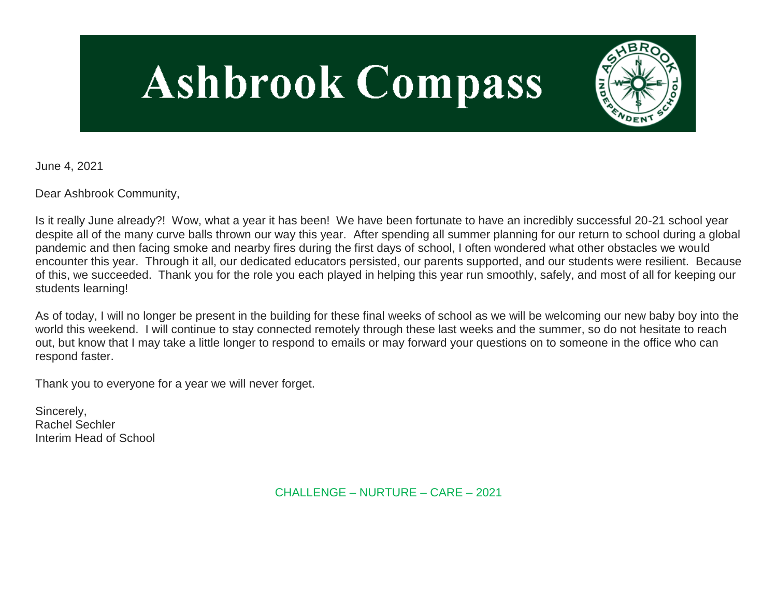# **Ashbrook Compass**



June 4, 2021

Dear Ashbrook Community,

Is it really June already?! Wow, what a year it has been! We have been fortunate to have an incredibly successful 20-21 school year despite all of the many curve balls thrown our way this year. After spending all summer planning for our return to school during a global pandemic and then facing smoke and nearby fires during the first days of school, I often wondered what other obstacles we would encounter this year. Through it all, our dedicated educators persisted, our parents supported, and our students were resilient. Because of this, we succeeded. Thank you for the role you each played in helping this year run smoothly, safely, and most of all for keeping our students learning!

As of today, I will no longer be present in the building for these final weeks of school as we will be welcoming our new baby boy into the world this weekend. I will continue to stay connected remotely through these last weeks and the summer, so do not hesitate to reach out, but know that I may take a little longer to respond to emails or may forward your questions on to someone in the office who can respond faster.

Thank you to everyone for a year we will never forget.

Sincerely, Rachel Sechler Interim Head of School

CHALLENGE – NURTURE – CARE – 2021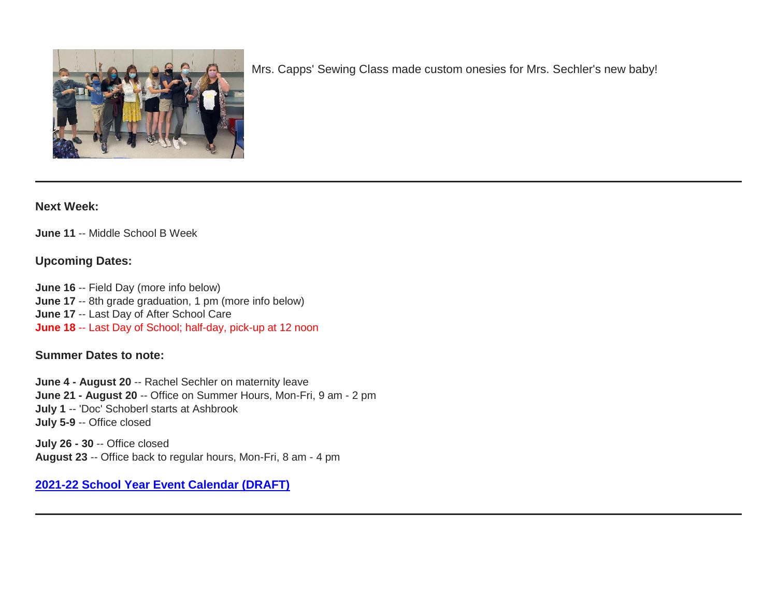

Mrs. Capps' Sewing Class made custom onesies for Mrs. Sechler's new baby!

#### **Next Week:**

**June 11** -- Middle School B Week

#### **Upcoming Dates:**

**June 16** -- Field Day (more info below) **June 17** -- 8th grade graduation, 1 pm (more info below) **June 17** -- Last Day of After School Care **June 18** -- Last Day of School; half-day, pick-up at 12 noon

#### **Summer Dates to note:**

**June 4 - August 20** -- Rachel Sechler on maternity leave **June 21 - August 20** -- Office on Summer Hours, Mon-Fri, 9 am - 2 pm **July 1** -- 'Doc' Schoberl starts at Ashbrook **July 5-9** -- Office closed

**July 26 - 30** -- Office closed **August 23** -- Office back to regular hours, Mon-Fri, 8 am - 4 pm

## **[2021-22 School Year Event Calendar \(DRAFT\)](http://link.mystudentsprogress.com/ls/click?upn=t3AI3kjK1Pyk9qPfHnOahelBVVSIlRAa3GeSLMbkINmgHr3guxrPuqfp-2Bh-2FJW4nCZ4g8Gi3XkGXC-2FKATZbsSvlLtGaxynoxi8rg7wuoRjJ9ogb5HbX999Eip-2FZE6wLdBt-2FZXHJBS6zquMLtzN9wyAf-2BwWQPV3rI3lDDknuQ1JHMBzJ8gUYT-2F7YzNEwZY9IsL01sHprQ-2FIDOi-2FxvxQxcWetx3uPiVsOO-2BTqPctwW7ytf9RkxC1x3UjTIEBtRaqxRocHrr-2BmciBR4-2BJ-2F9FRK9RIbCVijz3zpNIIcd4PIsUMddSSVNBf6Erlmv-2BHBcLMpY-2BXATDQ1ruaOReFDZmWYSBv8U-2FG-2FKOr0yEkAwqSdMzdcQ3gq4Z79RZNOTZP4nGap5-2B4nzc4nIf29OyD3NhvJHQaLkc85sE-2FfYbPaGyyk6H2FOzJRYThJmT37US6LpTrGNlh9HxVTLYe1LpjcNTBXNJsSKlp-2BAa-2BVuGTdE8v33fTt9-2BgR-2BE9tSlDPzhNHxWPZ2RZ535aLRz3SoCCiPZR3EABfh4FMKDRC4z2q-2Bvjvbtim7SOD4kDD2r5XYSDBe4a3bcI5fNds6iRAQWmj3uDnwn3-2B3tKuGNT1JKaRpJXKTgGLzWZLAnNUo4fvdQC77H83vaK-2BM8PCeLuljt-2FRAsnx0cP-2FGdRouESOyMOB5ORkT-2BH-2Bkw4hRRiiTCpe61BsZqpA-2Buv_GD_1PndbFfBoQGSZbxwXHHEexw3B2F0fG-2BUmuXm6a-2BX-2Bztq2LnsjrcuNY-2BVEfK4b6cVoQZMCiD1JyW6tJvzcbcuA0Txl2f6wOIkUQq-2BX6TVVbdcSGQYc6rXF3RCqNyhwu6RJ1GHtyYYEIIdULZ8AuU5vTOk5Qvexj01AzJs3cgyj9qDlMT9rF-2BUQrIHV6xLv5DXMDyiXN-2Fm5dN-2BJWeNDqY6z3sINB9xWakNktN-2B9gA6Mt7OTBlhH2RE5C7tj1QsdQye5GDKsKs7yihjZmOu5Xk88lrYwBTwK9fHG6BogbgLIVB-2B-2FUhpQNu42qghUzLcF-2Bl2ghb-2BN6pyB1mza5SyVFR-2BNPseyB9JXwyoG2kHUiMFY9RjVNGQDF46RxtrbbjdTWU0o5WWkQQX5seucqutzm-2BY28a1A5qdz-2F-2F6Hc2PIdkWlvrwY-2BCXXP17oC-2BS8QBBfEet)**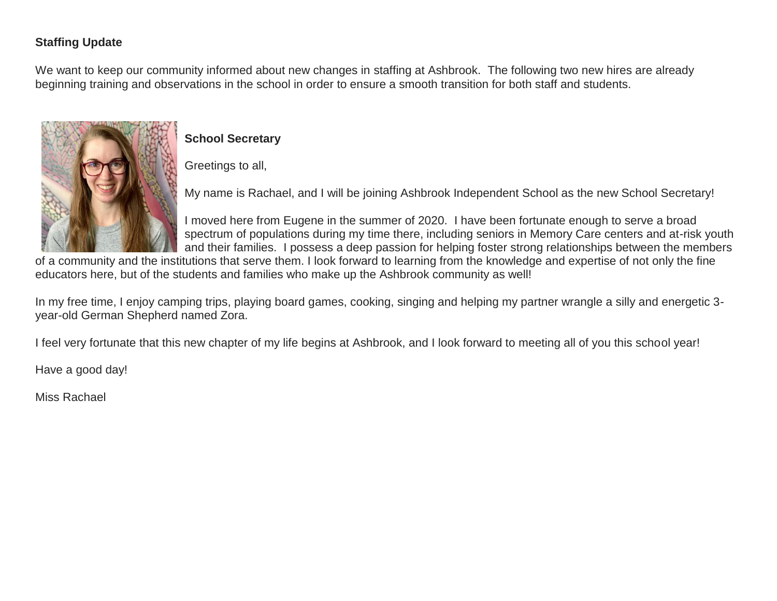# **Staffing Update**

We want to keep our community informed about new changes in staffing at Ashbrook. The following two new hires are already beginning training and observations in the school in order to ensure a smooth transition for both staff and students.



# **School Secretary**

Greetings to all,

My name is Rachael, and I will be joining Ashbrook Independent School as the new School Secretary!

I moved here from Eugene in the summer of 2020. I have been fortunate enough to serve a broad spectrum of populations during my time there, including seniors in Memory Care centers and at-risk youth and their families. I possess a deep passion for helping foster strong relationships between the members

of a community and the institutions that serve them. I look forward to learning from the knowledge and expertise of not only the fine educators here, but of the students and families who make up the Ashbrook community as well!

In my free time, I enjoy camping trips, playing board games, cooking, singing and helping my partner wrangle a silly and energetic 3 year-old German Shepherd named Zora.

I feel very fortunate that this new chapter of my life begins at Ashbrook, and I look forward to meeting all of you this school year!

Have a good day!

Miss Rachael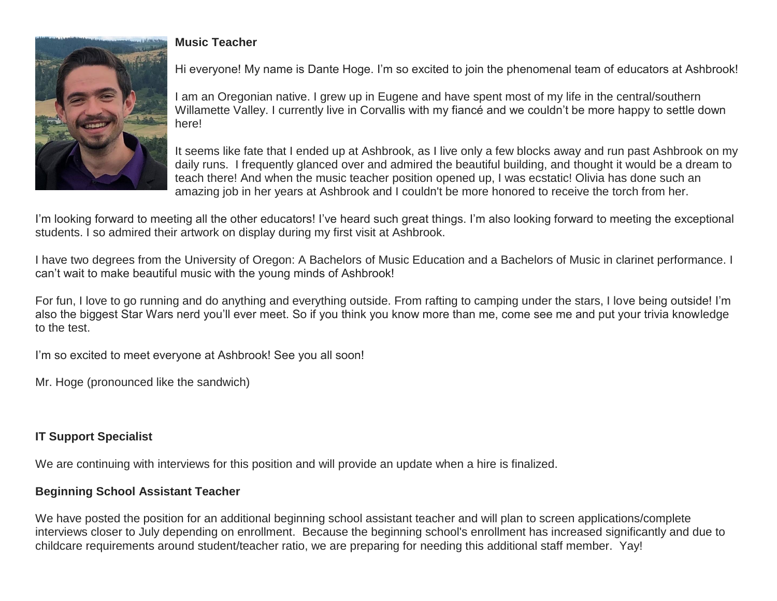

# **Music Teacher**

Hi everyone! My name is Dante Hoge. I'm so excited to join the phenomenal team of educators at Ashbrook!

I am an Oregonian native. I grew up in Eugene and have spent most of my life in the central/southern Willamette Valley. I currently live in Corvallis with my fiancé and we couldn't be more happy to settle down here!

It seems like fate that I ended up at Ashbrook, as I live only a few blocks away and run past Ashbrook on my daily runs. I frequently glanced over and admired the beautiful building, and thought it would be a dream to teach there! And when the music teacher position opened up, I was ecstatic! Olivia has done such an amazing job in her years at Ashbrook and I couldn't be more honored to receive the torch from her.

I'm looking forward to meeting all the other educators! I've heard such great things. I'm also looking forward to meeting the exceptional students. I so admired their artwork on display during my first visit at Ashbrook.

I have two degrees from the University of Oregon: A Bachelors of Music Education and a Bachelors of Music in clarinet performance. I can't wait to make beautiful music with the young minds of Ashbrook!

For fun, I love to go running and do anything and everything outside. From rafting to camping under the stars, I love being outside! I'm also the biggest Star Wars nerd you'll ever meet. So if you think you know more than me, come see me and put your trivia knowledge to the test.

I'm so excited to meet everyone at Ashbrook! See you all soon!

Mr. Hoge (pronounced like the sandwich)

# **IT Support Specialist**

We are continuing with interviews for this position and will provide an update when a hire is finalized.

# **Beginning School Assistant Teacher**

We have posted the position for an additional beginning school assistant teacher and will plan to screen applications/complete interviews closer to July depending on enrollment. Because the beginning school's enrollment has increased significantly and due to childcare requirements around student/teacher ratio, we are preparing for needing this additional staff member. Yay!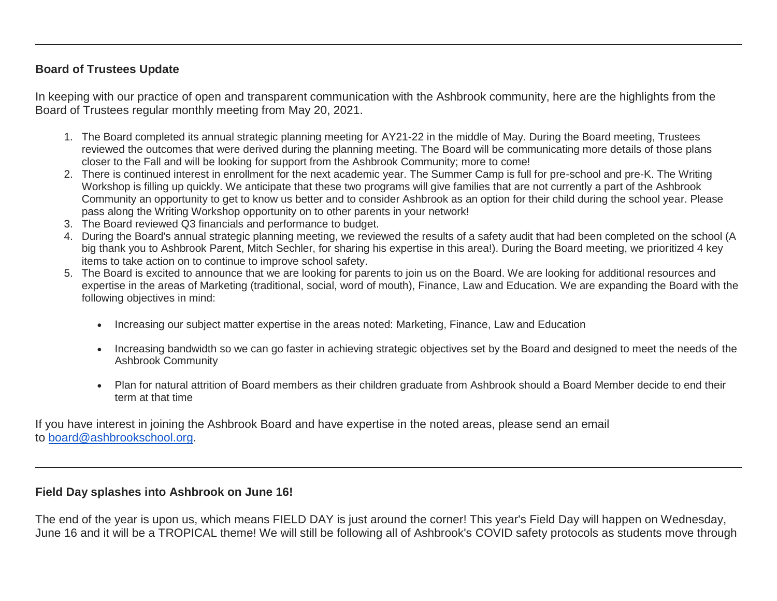## **Board of Trustees Update**

In keeping with our practice of open and transparent communication with the Ashbrook community, here are the highlights from the Board of Trustees regular monthly meeting from May 20, 2021.

- 1. The Board completed its annual strategic planning meeting for AY21-22 in the middle of May. During the Board meeting, Trustees reviewed the outcomes that were derived during the planning meeting. The Board will be communicating more details of those plans closer to the Fall and will be looking for support from the Ashbrook Community; more to come!
- 2. There is continued interest in enrollment for the next academic year. The Summer Camp is full for pre-school and pre-K. The Writing Workshop is filling up quickly. We anticipate that these two programs will give families that are not currently a part of the Ashbrook Community an opportunity to get to know us better and to consider Ashbrook as an option for their child during the school year. Please pass along the Writing Workshop opportunity on to other parents in your network!
- 3. The Board reviewed Q3 financials and performance to budget.
- 4. During the Board's annual strategic planning meeting, we reviewed the results of a safety audit that had been completed on the school (A big thank you to Ashbrook Parent, Mitch Sechler, for sharing his expertise in this area!). During the Board meeting, we prioritized 4 key items to take action on to continue to improve school safety.
- 5. The Board is excited to announce that we are looking for parents to join us on the Board. We are looking for additional resources and expertise in the areas of Marketing (traditional, social, word of mouth), Finance, Law and Education. We are expanding the Board with the following objectives in mind:
	- Increasing our subject matter expertise in the areas noted: Marketing, Finance, Law and Education
	- Increasing bandwidth so we can go faster in achieving strategic objectives set by the Board and designed to meet the needs of the Ashbrook Community
	- Plan for natural attrition of Board members as their children graduate from Ashbrook should a Board Member decide to end their term at that time

If you have interest in joining the Ashbrook Board and have expertise in the noted areas, please send an email to [board@ashbrookschool.org.](mailto:board@ashbrookschool.org)

## **Field Day splashes into Ashbrook on June 16!**

The end of the year is upon us, which means FIELD DAY is just around the corner! This year's Field Day will happen on Wednesday, June 16 and it will be a TROPICAL theme! We will still be following all of Ashbrook's COVID safety protocols as students move through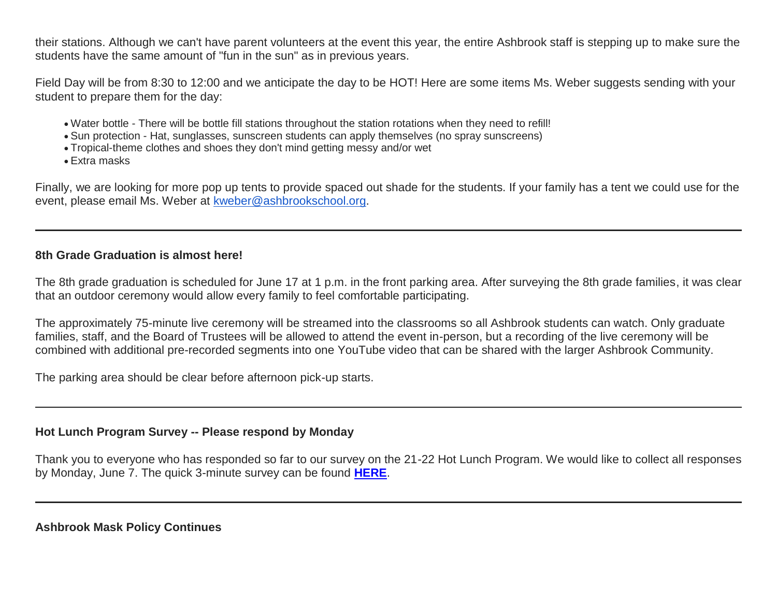their stations. Although we can't have parent volunteers at the event this year, the entire Ashbrook staff is stepping up to make sure the students have the same amount of "fun in the sun" as in previous years.

Field Day will be from 8:30 to 12:00 and we anticipate the day to be HOT! Here are some items Ms. Weber suggests sending with your student to prepare them for the day:

- Water bottle There will be bottle fill stations throughout the station rotations when they need to refill!
- Sun protection Hat, sunglasses, sunscreen students can apply themselves (no spray sunscreens)
- Tropical-theme clothes and shoes they don't mind getting messy and/or wet
- Extra masks

Finally, we are looking for more pop up tents to provide spaced out shade for the students. If your family has a tent we could use for the event, please email Ms. Weber at [kweber@ashbrookschool.org.](mailto:kweber@ashbrookschool.org)

## **8th Grade Graduation is almost here!**

The 8th grade graduation is scheduled for June 17 at 1 p.m. in the front parking area. After surveying the 8th grade families, it was clear that an outdoor ceremony would allow every family to feel comfortable participating.

The approximately 75-minute live ceremony will be streamed into the classrooms so all Ashbrook students can watch. Only graduate families, staff, and the Board of Trustees will be allowed to attend the event in-person, but a recording of the live ceremony will be combined with additional pre-recorded segments into one YouTube video that can be shared with the larger Ashbrook Community.

The parking area should be clear before afternoon pick-up starts.

## **Hot Lunch Program Survey -- Please respond by Monday**

Thank you to everyone who has responded so far to our survey on the 21-22 Hot Lunch Program. We would like to collect all responses by Monday, June 7. The quick 3-minute survey can be found **[HERE](http://link.mystudentsprogress.com/ls/click?upn=XkPBlp9GNU3xVxREosAX9d0mT9N9hD8YhsDpOToQApdu9bNXpQA3cnZTwz7oQKPPfHcP_1PndbFfBoQGSZbxwXHHEexw3B2F0fG-2BUmuXm6a-2BX-2Bztq2LnsjrcuNY-2BVEfK4b6cVoQZMCiD1JyW6tJvzcbcuA1Gz2M7SANsAQCkZDre7eSLs1Sv3Jjde-2BzJahX-2Fy-2BFfhfInj7U7Lq5hu4icqdC4z0mrQeo2Efz3CbKIH2BaXRuAB2V0JyIaTuDxH4G72xb7OFlgANr4hKQJ53bptnSqt707U9YXllThXNHwlYMo5s3c9SNkBM7jXaOHgT-2BBZMhYPg6EI-2FgdxtgS314Uxwg3jfypDhjpMrbq-2BqrFvEt8knWH7G5dMnz9TR6H3SvlZLdb2UNrKzwi2xjyZ0IvPHlvoi6DbUK55jlNS5MTp9vNHALNPLotyFk7UoBjk8OPcKBJJ0EK93mC-2BsJEL-2BIhdnX0pwV86UStyViY8VmUnmlACOyLijuyxp7Ze4nXMdOXYIK0q)**.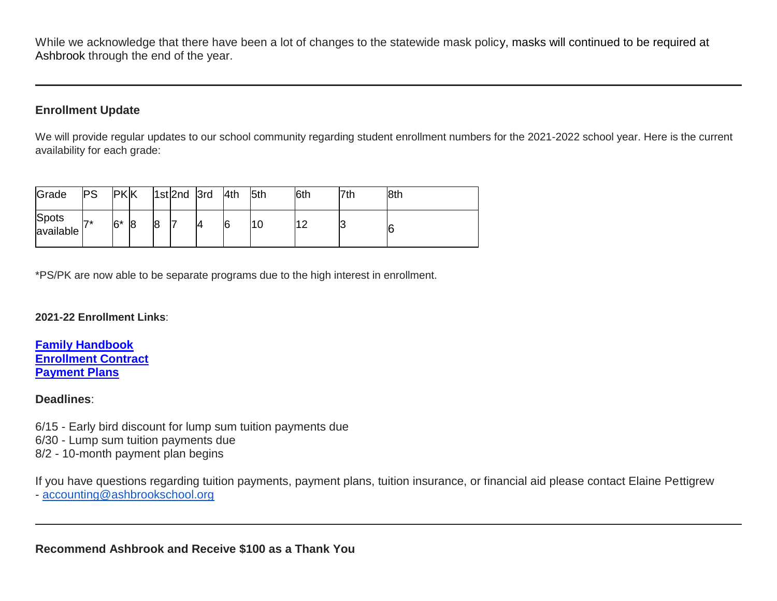While we acknowledge that there have been a lot of changes to the statewide mask policy, masks will continued to be required at Ashbrook through the end of the year.

# **Enrollment Update**

We will provide regular updates to our school community regarding student enrollment numbers for the 2021-2022 school year. Here is the current availability for each grade:

| Grade              | PS               | <b>PKK</b> |                |   | $ 1st 2nd$ 3rd |    | 4th | 5th | 6th | 7th | 8th |
|--------------------|------------------|------------|----------------|---|----------------|----|-----|-----|-----|-----|-----|
| Spots<br>available | $\overline{7}$ * | $6*$       | $\overline{8}$ | 8 | l              | 14 | 6   | 10  |     | ັ   | 6   |

\*PS/PK are now able to be separate programs due to the high interest in enrollment.

#### **2021-22 Enrollment Links**:

**[Family Handbook](http://link.mystudentsprogress.com/ls/click?upn=n7jYKe39nC4PrVAw2BzaOolgU5XUleaJ61qfvNJxTW3uoi8RFzNYUfSc1qXdqajA34djZWrxIBJBxzp2whbybvqIYp3dDOkCDgKesziBdCm1u7J5UB6bwQicng-2BhFj8j9ZZ0Lb7IyRpSLLhbS8X-2BNE-2FsFTu5auQ5tTHoLi9o48o-3DO7P9_1PndbFfBoQGSZbxwXHHEexw3B2F0fG-2BUmuXm6a-2BX-2Bztq2LnsjrcuNY-2BVEfK4b6cVoQZMCiD1JyW6tJvzcbcuA39kiO8-2FlGggFNNLZwDN3OSTZn2JTKJz40dMoZXzUv-2FfdvQuwip-2BwoSbVfzWeor2IGz8bqa-2FRIU02LMkVfLm7YyIGoCbGE1S7aF3n3rY1w-2FzbIvic0ClZm3xdJVK41OkQ76hAtRVu-2BpcYJRY2p7M-2FP7sYBgRhr4Y46d67edI-2FyiNQqHUFfUud-2FK-2FAmdqbNI1yJC9z6uRbJgM4jLCNzbMEUevuT3WfqgNQAIRz0BYP2Ot9MzBNFEWk4hiEV7tRTOZgpgJUO6j3bax6xXtw-2FumuviNlzm60AwJcbP-2BBHZtyEkquGtOfirlXhHQYfwdCr-2BAOT7zxLSzKzWhatJDvsoJngBgXonI0T1qdTdY6y3yHqpr) [Enrollment Contract](http://link.mystudentsprogress.com/ls/click?upn=VTTLfIwNu5QFy05N-2BXKA7MM5XZ-2FaPNghD0e589AKGRWdKrXyK6-2Bm8bb1I1DfT5Io0Hv1qAH8mdM37znR5vOcFGB7DIQx2jp4xdjBwuqeZxT1Pjkge-2BjWLaV97kHLeMz5TQtiyRq8-2FrZ-2FtIkmMJcnCvTSbyF8-2BEnMtFIKrlq0nbyYLhMWqtk6N17cNuWkmBCi2eg-2FDcyJo-2FZoHU6aac7YTMbLoqiYM-2Bpq5ghj-2BCMqt1Q-3DFwMW_1PndbFfBoQGSZbxwXHHEexw3B2F0fG-2BUmuXm6a-2BX-2Bztq2LnsjrcuNY-2BVEfK4b6cVoQZMCiD1JyW6tJvzcbcuA-2B5AIgNTL1yPDDEPzLcYsEYY55Wfns1bTkLmaBUKXPGyPiA2ZYrAJ-2F0fIutIxEi7WIIHP9goBaUxCzLgCDDEnIXbJ-2F9Qm3EIYuJp7Bc67gbfvj28PnQ37NiKhQN6Wc0Wo8eFtst1Fq-2BjzkOJbwLclFCPOVhPwDU9nMJre-2FuM-2B7t-2Bf1qhCTzn5Lc74ep2XHa3ZY3zocPWRFQqdWfaMIdlc3b92PhHsqJxsS29o8Kvls7JYdz-2BGWYOnFqTNbIBsLNCmc9ujU79j-2F9ASN3gjw-2BhgHFeMczsGuV5bh1Q-2FQ15lNG95T2aACDMJJ2YAI-2FETjzv8n4uyA36n8aJiRQ3Z4VT8DJDr6AWTysB-2BMvSiRqXyNkr) [Payment Plans](http://link.mystudentsprogress.com/ls/click?upn=n7jYKe39nC4PrVAw2BzaOolgU5XUleaJ61qfvNJxTW3uoi8RFzNYUfSc1qXdqajA34djZWrxIBJBxzp2whbybvqIYp3dDOkCDgKesziBdClkeFpPmgMGrgcxNe5TC96odu91tl93IdUb7rzqL2LYFkOwDdym2keCOp3gkw-2Fos5E-3DB_Cv_1PndbFfBoQGSZbxwXHHEexw3B2F0fG-2BUmuXm6a-2BX-2Bztq2LnsjrcuNY-2BVEfK4b6cVoQZMCiD1JyW6tJvzcbcuA4GjmMP-2FI4VgSZBN-2FRJC-2BtmKm5PifEwgm3VneFv2egplmGnG29dcI-2FyRk8ZIilBTxcCYKhl-2FpLCXBL8Kq7cWX6yQ4zxfw1JqCse4EDLgZi-2BUKnUWiiQWxuynqTOm1KrW9gycoAvP0MgN8YO0fNNjVETGHlCwwBVaPRqdOFelOughOrzLE6znesFPN34-2BKTVS0XTr9jic7A0-2BOCZsjqRxlgD1m2bOp-2B-2Bssal9dPObou2ChIPyKqcfdGt645Ym2UMU7TCbVXCkBPOo9RZqgzqN4NSgRjvaUJ-2FQYjedkvxs4X47LVGRiztRZTD-2B7hRdir9Q7FCQScCYOfMkvLyxsK47aGlhP51IRkHHba4IZ6TSGKgt)**

#### **Deadlines**:

6/15 - Early bird discount for lump sum tuition payments due 6/30 - Lump sum tuition payments due 8/2 - 10-month payment plan begins

If you have questions regarding tuition payments, payment plans, tuition insurance, or financial aid please contact Elaine Pettigrew - [accounting@ashbrookschool.org](mailto:accounting@ashbrookschool.org)

**Recommend Ashbrook and Receive \$100 as a Thank You**